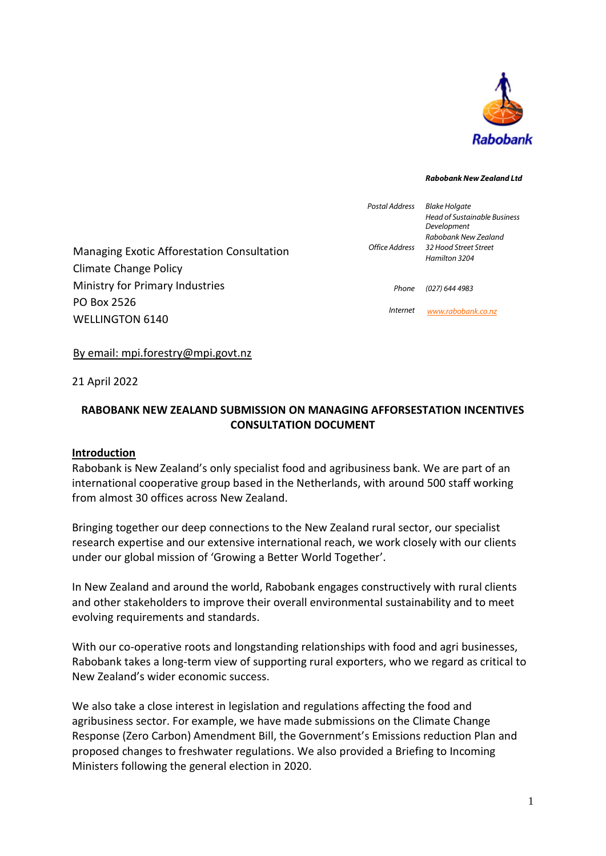

#### *Rabobank New Zealand Ltd*

| Office Address  | <b>Blake Holgate</b>                               |
|-----------------|----------------------------------------------------|
|                 | <b>Head of Sustainable Business</b><br>Development |
|                 | Rabobank New Zealand                               |
|                 | 32 Hood Street Street                              |
|                 | Hamilton 3204                                      |
|                 |                                                    |
| Phone           | (027) 644 4983                                     |
| <i>Internet</i> | www.rabobank.co.nz                                 |
|                 |                                                    |

#### By email: mpi.forestry@mpi.govt.nz

21 April 2022

# **RABOBANK NEW ZEALAND SUBMISSION ON MANAGING AFFORSESTATION INCENTIVES CONSULTATION DOCUMENT**

#### **Introduction**

Rabobank is New Zealand's only specialist food and agribusiness bank. We are part of an international cooperative group based in the Netherlands, with around 500 staff working from almost 30 offices across New Zealand.

Bringing together our deep connections to the New Zealand rural sector, our specialist research expertise and our extensive international reach, we work closely with our clients under our global mission of 'Growing a Better World Together'.

In New Zealand and around the world, Rabobank engages constructively with rural clients and other stakeholders to improve their overall environmental sustainability and to meet evolving requirements and standards.

With our co-operative roots and longstanding relationships with food and agri businesses, Rabobank takes a long-term view of supporting rural exporters, who we regard as critical to New Zealand's wider economic success.

We also take a close interest in legislation and regulations affecting the food and agribusiness sector. For example, we have made submissions on the Climate Change Response (Zero Carbon) Amendment Bill, the Government's Emissions reduction Plan and proposed changes to freshwater regulations. We also provided a Briefing to Incoming Ministers following the general election in 2020.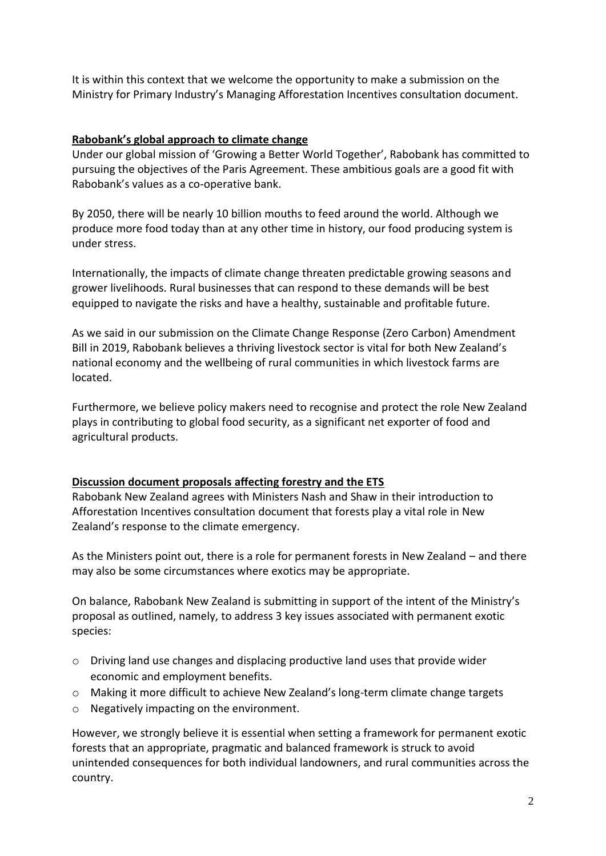It is within this context that we welcome the opportunity to make a submission on the Ministry for Primary Industry's Managing Afforestation Incentives consultation document.

# **Rabobank's global approach to climate change**

Under our global mission of 'Growing a Better World Together', Rabobank has committed to pursuing the objectives of the Paris Agreement. These ambitious goals are a good fit with Rabobank's values as a co-operative bank.

By 2050, there will be nearly 10 billion mouths to feed around the world. Although we produce more food today than at any other time in history, our food producing system is under stress.

Internationally, the impacts of climate change threaten predictable growing seasons and grower livelihoods. Rural businesses that can respond to these demands will be best equipped to navigate the risks and have a healthy, sustainable and profitable future.

As we said in our submission on the Climate Change Response (Zero Carbon) Amendment Bill in 2019, Rabobank believes a thriving livestock sector is vital for both New Zealand's national economy and the wellbeing of rural communities in which livestock farms are located.

Furthermore, we believe policy makers need to recognise and protect the role New Zealand plays in contributing to global food security, as a significant net exporter of food and agricultural products.

# **Discussion document proposals affecting forestry and the ETS**

Rabobank New Zealand agrees with Ministers Nash and Shaw in their introduction to Afforestation Incentives consultation document that forests play a vital role in New Zealand's response to the climate emergency.

As the Ministers point out, there is a role for permanent forests in New Zealand – and there may also be some circumstances where exotics may be appropriate.

On balance, Rabobank New Zealand is submitting in support of the intent of the Ministry's proposal as outlined, namely, to address 3 key issues associated with permanent exotic species:

- o Driving land use changes and displacing productive land uses that provide wider economic and employment benefits.
- o Making it more difficult to achieve New Zealand's long-term climate change targets
- o Negatively impacting on the environment.

However, we strongly believe it is essential when setting a framework for permanent exotic forests that an appropriate, pragmatic and balanced framework is struck to avoid unintended consequences for both individual landowners, and rural communities across the country.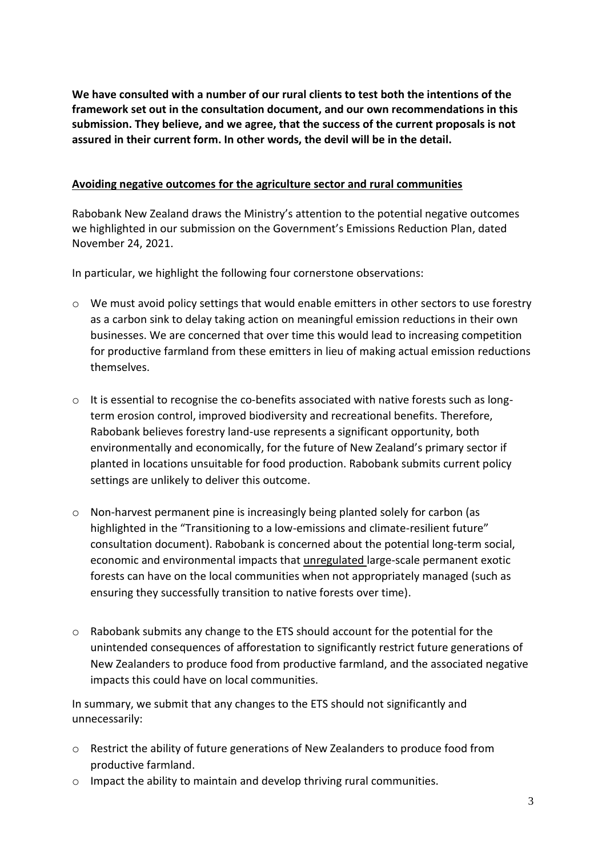**We have consulted with a number of our rural clients to test both the intentions of the framework set out in the consultation document, and our own recommendations in this submission. They believe, and we agree, that the success of the current proposals is not assured in their current form. In other words, the devil will be in the detail.**

#### **Avoiding negative outcomes for the agriculture sector and rural communities**

Rabobank New Zealand draws the Ministry's attention to the potential negative outcomes we highlighted in our submission on the Government's Emissions Reduction Plan, dated November 24, 2021.

In particular, we highlight the following four cornerstone observations:

- o We must avoid policy settings that would enable emitters in other sectors to use forestry as a carbon sink to delay taking action on meaningful emission reductions in their own businesses. We are concerned that over time this would lead to increasing competition for productive farmland from these emitters in lieu of making actual emission reductions themselves.
- $\circ$  It is essential to recognise the co-benefits associated with native forests such as longterm erosion control, improved biodiversity and recreational benefits. Therefore, Rabobank believes forestry land-use represents a significant opportunity, both environmentally and economically, for the future of New Zealand's primary sector if planted in locations unsuitable for food production. Rabobank submits current policy settings are unlikely to deliver this outcome.
- o Non-harvest permanent pine is increasingly being planted solely for carbon (as highlighted in the "Transitioning to a low-emissions and climate-resilient future" consultation document). Rabobank is concerned about the potential long-term social, economic and environmental impacts that unregulated large-scale permanent exotic forests can have on the local communities when not appropriately managed (such as ensuring they successfully transition to native forests over time).
- $\circ$  Rabobank submits any change to the ETS should account for the potential for the unintended consequences of afforestation to significantly restrict future generations of New Zealanders to produce food from productive farmland, and the associated negative impacts this could have on local communities.

In summary, we submit that any changes to the ETS should not significantly and unnecessarily:

- o Restrict the ability of future generations of New Zealanders to produce food from productive farmland.
- o Impact the ability to maintain and develop thriving rural communities.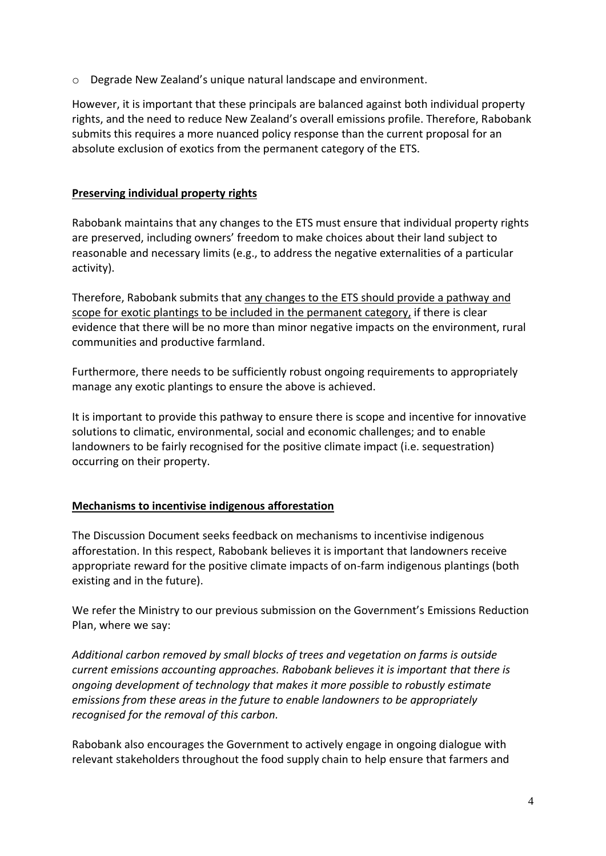o Degrade New Zealand's unique natural landscape and environment.

However, it is important that these principals are balanced against both individual property rights, and the need to reduce New Zealand's overall emissions profile. Therefore, Rabobank submits this requires a more nuanced policy response than the current proposal for an absolute exclusion of exotics from the permanent category of the ETS.

#### **Preserving individual property rights**

Rabobank maintains that any changes to the ETS must ensure that individual property rights are preserved, including owners' freedom to make choices about their land subject to reasonable and necessary limits (e.g., to address the negative externalities of a particular activity).

Therefore, Rabobank submits that any changes to the ETS should provide a pathway and scope for exotic plantings to be included in the permanent category, if there is clear evidence that there will be no more than minor negative impacts on the environment, rural communities and productive farmland.

Furthermore, there needs to be sufficiently robust ongoing requirements to appropriately manage any exotic plantings to ensure the above is achieved.

It is important to provide this pathway to ensure there is scope and incentive for innovative solutions to climatic, environmental, social and economic challenges; and to enable landowners to be fairly recognised for the positive climate impact (i.e. sequestration) occurring on their property.

# **Mechanisms to incentivise indigenous afforestation**

The Discussion Document seeks feedback on mechanisms to incentivise indigenous afforestation. In this respect, Rabobank believes it is important that landowners receive appropriate reward for the positive climate impacts of on-farm indigenous plantings (both existing and in the future).

We refer the Ministry to our previous submission on the Government's Emissions Reduction Plan, where we say:

*Additional carbon removed by small blocks of trees and vegetation on farms is outside current emissions accounting approaches. Rabobank believes it is important that there is ongoing development of technology that makes it more possible to robustly estimate emissions from these areas in the future to enable landowners to be appropriately recognised for the removal of this carbon.*

Rabobank also encourages the Government to actively engage in ongoing dialogue with relevant stakeholders throughout the food supply chain to help ensure that farmers and